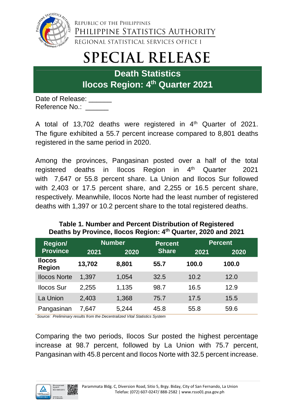

REPUBLIC OF THE PHILIPPINES PHILIPPINE STATISTICS AUTHORITY REGIONAL STATISTICAL SERVICES OFFICE I

# **SPECIAL RELEASE**

**Death Statistics Ilocos Region: 4 th Quarter 2021**

Date of Release: Reference No.:

A total of 13,702 deaths were registered in  $4<sup>th</sup>$  Quarter of 2021. The figure exhibited a 55.7 percent increase compared to 8,801 deaths registered in the same period in 2020.

Among the provinces, Pangasinan posted over a half of the total registered deaths in Ilocos Region in 4 Quarter 2021 with 7,647 or 55.8 percent share. La Union and Ilocos Sur followed with 2,403 or 17.5 percent share, and 2,255 or 16.5 percent share, respectively. Meanwhile, Ilocos Norte had the least number of registered deaths with 1,397 or 10.2 percent share to the total registered deaths.

### **Table 1. Number and Percent Distribution of Registered Deaths by Province, Ilocos Region: 4th Quarter, 2020 and 2021**

| <b>Region/</b>                 | <b>Number</b> |       | <b>Percent</b> | <b>Percent</b> |       |
|--------------------------------|---------------|-------|----------------|----------------|-------|
| <b>Province</b>                | 2021          | 2020  | <b>Share</b>   | 2021           | 2020  |
| <b>Ilocos</b><br><b>Region</b> | 13,702        | 8,801 | 55.7           | 100.0          | 100.0 |
| <b>Ilocos Norte</b>            | 1,397         | 1,054 | 32.5           | 10.2           | 12.0  |
| <b>Ilocos Sur</b>              | 2,255         | 1,135 | 98.7           | 16.5           | 12.9  |
| La Union                       | 2,403         | 1,368 | 75.7           | 17.5           | 15.5  |
| Pangasinan                     | 7,647         | 5,244 | 45.8           | 55.8           | 59.6  |

*Source: Preliminary results from the Decentralized Vital Statistics System*

Comparing the two periods, Ilocos Sur posted the highest percentage increase at 98.7 percent, followed by La Union with 75.7 percent, Pangasinan with 45.8 percent and Ilocos Norte with 32.5 percent increase.

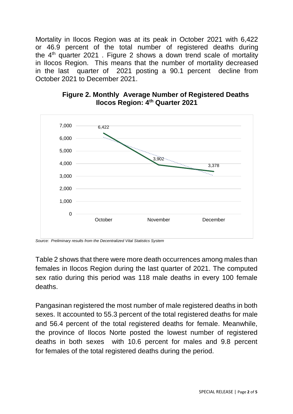Mortality in Ilocos Region was at its peak in October 2021 with 6,422 or 46.9 percent of the total number of registered deaths during the  $4<sup>th</sup>$  quarter 2021. Figure 2 shows a down trend scale of mortality in Ilocos Region. This means that the number of mortality decreased in the last quarter of 2021 posting a 90.1 percent decline from October 2021 to December 2021.



#### **Figure 2. Monthly Average Number of Registered Deaths Ilocos Region: 4th Quarter 2021**

Table 2 shows that there were more death occurrences among males than females in Ilocos Region during the last quarter of 2021. The computed sex ratio during this period was 118 male deaths in every 100 female deaths.

Pangasinan registered the most number of male registered deaths in both sexes. It accounted to 55.3 percent of the total registered deaths for male and 56.4 percent of the total registered deaths for female. Meanwhile, the province of Ilocos Norte posted the lowest number of registered deaths in both sexes with 10.6 percent for males and 9.8 percent for females of the total registered deaths during the period.

*Source: Preliminary results from the Decentralized Vital Statistics System*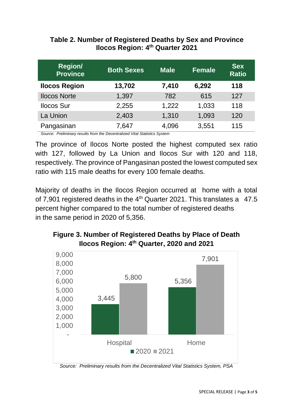#### **Table 2. Number of Registered Deaths by Sex and Province Ilocos Region: 4 th Quarter 2021**

| <b>Region/</b><br><b>Province</b> | <b>Both Sexes</b> | <b>Male</b> | <b>Female</b> | <b>Sex</b><br><b>Ratio</b> |
|-----------------------------------|-------------------|-------------|---------------|----------------------------|
| <b>Ilocos Region</b>              | 13,702            | 7,410       | 6,292         | 118                        |
| <b>Ilocos Norte</b>               | 1,397             | 782         | 615           | 127                        |
| <b>Ilocos Sur</b>                 | 2,255             | 1,222       | 1,033         | 118                        |
| La Union                          | 2,403             | 1,310       | 1,093         | 120                        |
| Pangasinan                        | 7,647             | 4,096       | 3,551         | 115                        |

 *Source: Preliminary results from the Decentralized Vital Statistics System*

The province of Ilocos Norte posted the highest computed sex ratio with 127, followed by La Union and Ilocos Sur with 120 and 118, respectively. The province of Pangasinan posted the lowest computed sex ratio with 115 male deaths for every 100 female deaths.

Majority of deaths in the Ilocos Region occurred at home with a total of 7,901 registered deaths in the 4<sup>th</sup> Quarter 2021. This translates a 47.5 percent higher compared to the total number of registered deaths in the same period in 2020 of 5,356.

# **Figure 3. Number of Registered Deaths by Place of Death Ilocos Region: 4 th Quarter, 2020 and 2021**



*Source: Preliminary results from the Decentralized Vital Statistics System, PSA*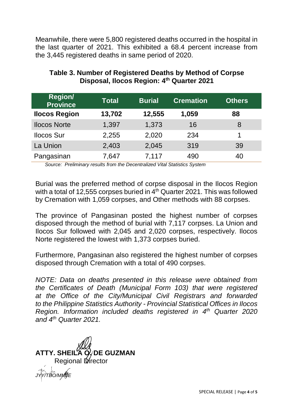Meanwhile, there were 5,800 registered deaths occurred in the hospital in the last quarter of 2021. This exhibited a 68.4 percent increase from the 3,445 registered deaths in same period of 2020.

| <b>Region/</b><br><b>Province</b> | <b>Total</b> | <b>Burial</b> | <b>Cremation</b> | <b>Others</b> |
|-----------------------------------|--------------|---------------|------------------|---------------|
| <b>Ilocos Region</b>              | 13,702       | 12,555        | 1,059            | 88            |
| <b>Ilocos Norte</b>               | 1,397        | 1,373         | 16               | 8             |
| <b>Ilocos Sur</b>                 | 2,255        | 2,020         | 234              | 1             |
| La Union                          | 2,403        | 2,045         | 319              | 39            |
| Pangasinan                        | 7.647        | 7,117         | 490              | 40            |

## **Table 3. Number of Registered Deaths by Method of Corpse Disposal, Ilocos Region: 4 th Quarter 2021**

 *Source: Preliminary results from the Decentralized Vital Statistics System*

Burial was the preferred method of corpse disposal in the Ilocos Region with a total of 12,555 corpses buried in  $4<sup>th</sup>$  Quarter 2021. This was followed by Cremation with 1,059 corpses, and Other methods with 88 corpses.

The province of Pangasinan posted the highest number of corpses disposed through the method of burial with 7,117 corpses. La Union and Ilocos Sur followed with 2,045 and 2,020 corpses, respectively. Ilocos Norte registered the lowest with 1,373 corpses buried.

Furthermore, Pangasinan also registered the highest number of corpses disposed through Cremation with a total of 490 corpses.

*NOTE: Data on deaths presented in this release were obtained from the Certificates of Death (Municipal Form 103) that were registered at the Office of the City/Municipal Civil Registrars and forwarded to the Philippine Statistics Authority - Provincial Statistical Offices in Ilocos Region. Information included deaths registered in 4<sup>th</sup> Quarter 2020 and 4th Quarter 2021.*